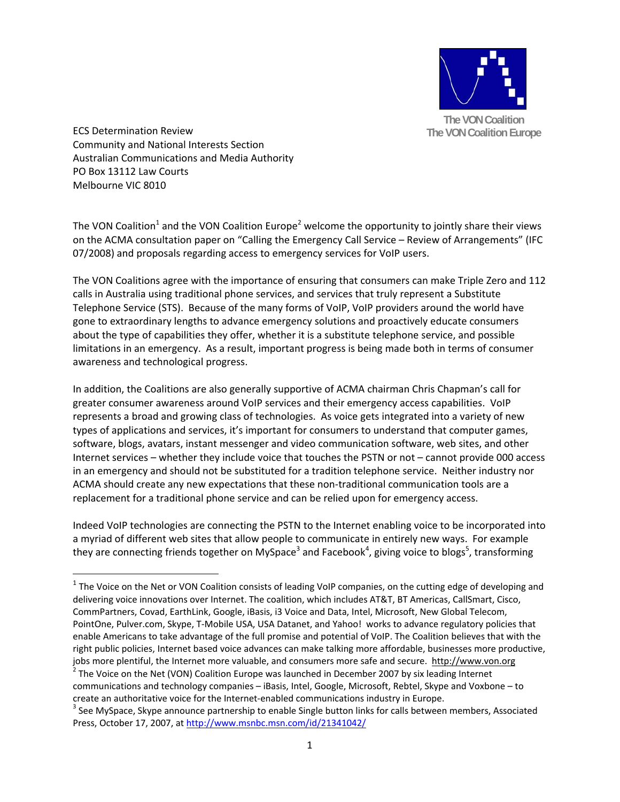

ECS Determination Review Community and National Interests Section Australian Communications and Media Authority PO Box 13112 Law Courts Melbourne VIC 8010

The VON Coalition<sup>1</sup> and the VON Coalition Europe<sup>2</sup> welcome the opportunity to jointly share their views on the ACMA consultation paper on "Calling the Emergency Call Service – Review of Arrangements" (IFC 07/2008) and proposals regarding access to emergency services for VoIP users.

The VON Coalitions agree with the importance of ensuring that consumers can make Triple Zero and 112 calls in Australia using traditional phone services, and services that truly represent a Substitute Telephone Service (STS). Because of the many forms of VoIP, VoIP providers around the world have gone to extraordinary lengths to advance emergency solutions and proactively educate consumers about the type of capabilities they offer, whether it is a substitute telephone service, and possible limitations in an emergency. As a result, important progress is being made both in terms of consumer awareness and technological progress.

In addition, the Coalitions are also generally supportive of ACMA chairman Chris Chapman's call for greater consumer awareness around VoIP services and their emergency access capabilities. VoIP represents a broad and growing class of technologies. As voice gets integrated into a variety of new types of applications and services, it's important for consumers to understand that computer games, software, blogs, avatars, instant messenger and video communication software, web sites, and other Internet services – whether they include voice that touches the PSTN or not – cannot provide 000 access in an emergency and should not be substituted for a tradition telephone service. Neither industry nor ACMA should create any new expectations that these non-traditional communication tools are a replacement for a traditional phone service and can be relied upon for emergency access.

Indeed VoIP technologies are connecting the PSTN to the Internet enabling voice to be incorporated into a myriad of different web sites that allow people to communicate in entirely new ways. For example they are connecting friends together on MySpace<sup>3</sup> and Facebook<sup>4</sup>, giving voice to blogs<sup>5</sup>, transforming

 $1$  The Voice on the Net or VON Coalition consists of leading VoIP companies, on the cutting edge of developing and delivering voice innovations over Internet. The coalition, which includes AT&T, BT Americas, CallSmart, Cisco, CommPartners, Covad, EarthLink, Google, iBasis, i3 Voice and Data, Intel, Microsoft, New Global Telecom, PointOne, Pulver.com, Skype, T‐Mobile USA, USA Datanet, and Yahoo! works to advance regulatory policies that enable Americans to take advantage of the full promise and potential of VoIP. The Coalition believes that with the right public policies, Internet based voice advances can make talking more affordable, businesses more productive, jobs more plentiful, the Internet more valuable, and consumers more safe and secure. **http://www.von.org** <sup>2</sup> The Voice on the Net (VON) Coalition Europe was launched in December 2007 by six leading Internet

communications and technology companies – iBasis, Intel, Google, Microsoft, Rebtel, Skype and Voxbone – to

create an authoritative voice for the Internet-enabled communications industry in Europe.<br><sup>3</sup> See MySpace, Skype announce partnership to enable Single button links for calls between members, Associated Press, October 17, 2007, at http://www.msnbc.msn.com/id/21341042/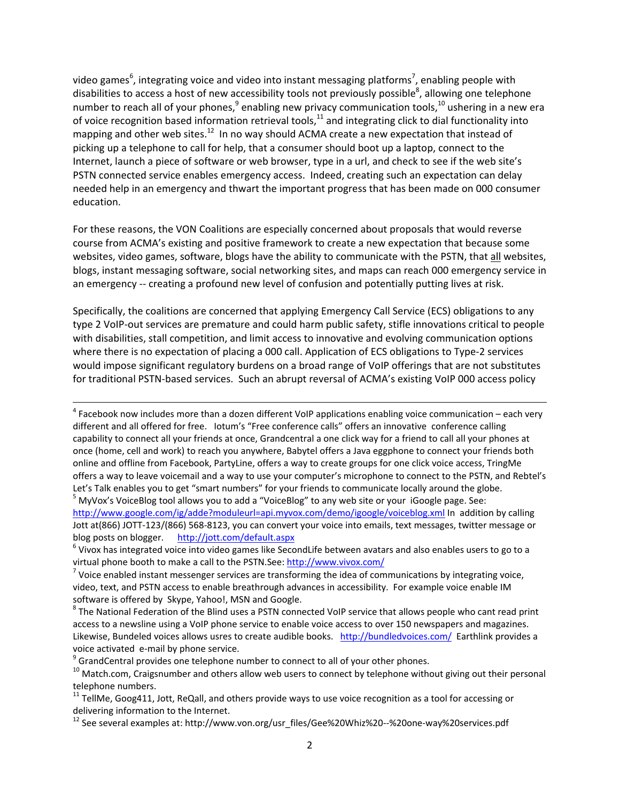video games<sup>6</sup>, integrating voice and video into instant messaging platforms<sup>7</sup>, enabling people with disabilities to access a host of new accessibility tools not previously possible<sup>8</sup>, allowing one telephone number to reach all of your phones, $9$  enabling new privacy communication tools, $10$  ushering in a new era of voice recognition based information retrieval tools, $11$  and integrating click to dial functionality into mapping and other web sites.<sup>12</sup> In no way should ACMA create a new expectation that instead of picking up a telephone to call for help, that a consumer should boot up a laptop, connect to the Internet, launch a piece of software or web browser, type in a url, and check to see if the web site's PSTN connected service enables emergency access. Indeed, creating such an expectation can delay needed help in an emergency and thwart the important progress that has been made on 000 consumer education.

For these reasons, the VON Coalitions are especially concerned about proposals that would reverse course from ACMA's existing and positive framework to create a new expectation that because some websites, video games, software, blogs have the ability to communicate with the PSTN, that all websites, blogs, instant messaging software, social networking sites, and maps can reach 000 emergency service in an emergency -- creating a profound new level of confusion and potentially putting lives at risk.

Specifically, the coalitions are concerned that applying Emergency Call Service (ECS) obligations to any type 2 VoIP‐out services are premature and could harm public safety, stifle innovations critical to people with disabilities, stall competition, and limit access to innovative and evolving communication options where there is no expectation of placing a 000 call. Application of ECS obligations to Type-2 services would impose significant regulatory burdens on a broad range of VoIP offerings that are not substitutes for traditional PSTN‐based services. Such an abrupt reversal of ACMA's existing VoIP 000 access policy

 $4$  Facebook now includes more than a dozen different VoIP applications enabling voice communication – each very different and all offered for free. Iotum's "Free conference calls" offers an innovative conference calling capability to connect all your friends at once, Grandcentral a one click way for a friend to call all your phones at once (home, cell and work) to reach you anywhere, Babytel offers a Java eggphone to connect your friends both online and offline from Facebook, PartyLine, offers a way to create groups for one click voice access, TringMe offers a way to leave voicemail and a way to use your computer's microphone to connect to the PSTN, and Rebtel's Let's Talk enables you to get "smart numbers" for your friends to communicate locally around the globe.<br><sup>5</sup> MyVox's VoiceBlog tool allows you to add a "VoiceBlog" to any web site or your iGoogle page. See: http://www.google.com/ig/adde?moduleurl=api.myvox.com/demo/igoogle/voiceblog.xml In addition by calling

Jott at(866) JOTT-123/(866) 568-8123, you can convert your voice into emails, text messages, twitter message or blog posts on blogger. http://jott.com/default.aspx <sup>6</sup> Vivox has integrated voice into video games like SecondLife between avatars and also enables users to go to <sup>a</sup>

virtual phone booth to make a call to the PSTN.See:  $\frac{http://www.vivox.com/}{http://www.vivox.com/}$ <br>
<sup>7</sup> Voice enabled instant messenger services are transforming the idea of communications by integrating voice,

video, text, and PSTN access to enable breathrough advances in accessibility. For example voice enable IM software is offered by Skype, Yahoo!, MSN and Google.<br><sup>8</sup> The National Federation of the Blind uses a PSTN connected VoIP service that allows people who cant read print

access to a newsline using a VoIP phone service to enable voice access to over 150 newspapers and magazines. Likewise, Bundeled voices allows usres to create audible books. http://bundledvoices.com/ Earthlink provides a voice activated e-mail by phone service.<br><sup>9</sup> GrandCentral provides one telephone number to connect to all of your other phones.<br><sup>10</sup> Match.com, Craigsnumber and others allow web users to connect by telephone without giving

telephone numbers.<br><sup>11</sup> TellMe, Goog411, Jott, ReQall, and others provide ways to use voice recognition as a tool for accessing or

delivering information to the Internet.<br><sup>12</sup> See several examples at: http://www.von.org/usr\_files/Gee%20Whiz%20--%20one-way%20services.pdf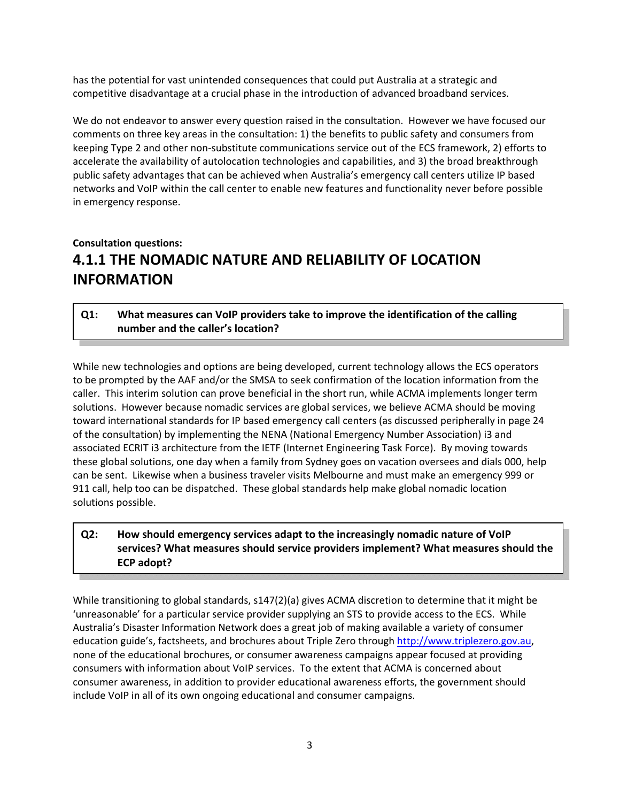has the potential for vast unintended consequences that could put Australia at a strategic and competitive disadvantage at a crucial phase in the introduction of advanced broadband services.

We do not endeavor to answer every question raised in the consultation. However we have focused our comments on three key areas in the consultation: 1) the benefits to public safety and consumers from keeping Type 2 and other non‐substitute communications service out of the ECS framework, 2) efforts to accelerate the availability of autolocation technologies and capabilities, and 3) the broad breakthrough public safety advantages that can be achieved when Australia's emergency call centers utilize IP based networks and VoIP within the call center to enable new features and functionality never before possible in emergency response.

## **Consultation questions: 4.1.1 THE NOMADIC NATURE AND RELIABILITY OF LOCATION INFORMATION**

#### **Q1: What measures can VoIP providers take to improve the identification of the calling number and the caller's location?**

While new technologies and options are being developed, current technology allows the ECS operators to be prompted by the AAF and/or the SMSA to seek confirmation of the location information from the caller. This interim solution can prove beneficial in the short run, while ACMA implements longer term solutions. However because nomadic services are global services, we believe ACMA should be moving toward international standards for IP based emergency call centers (as discussed peripherally in page 24 of the consultation) by implementing the NENA (National Emergency Number Association) i3 and associated ECRIT i3 architecture from the IETF (Internet Engineering Task Force). By moving towards these global solutions, one day when a family from Sydney goes on vacation oversees and dials 000, help can be sent. Likewise when a business traveler visits Melbourne and must make an emergency 999 or 911 call, help too can be dispatched. These global standards help make global nomadic location solutions possible.

### **Q2: How should emergency services adapt to the increasingly nomadic nature of VoIP services? What measures should service providers implement? What measures should the ECP adopt?**

While transitioning to global standards, s147(2)(a) gives ACMA discretion to determine that it might be 'unreasonable' for a particular service provider supplying an STS to provide access to the ECS. While Australia's Disaster Information Network does a great job of making available a variety of consumer education guide's, factsheets, and brochures about Triple Zero through http://www.triplezero.gov.au, none of the educational brochures, or consumer awareness campaigns appear focused at providing consumers with information about VoIP services. To the extent that ACMA is concerned about consumer awareness, in addition to provider educational awareness efforts, the government should include VoIP in all of its own ongoing educational and consumer campaigns.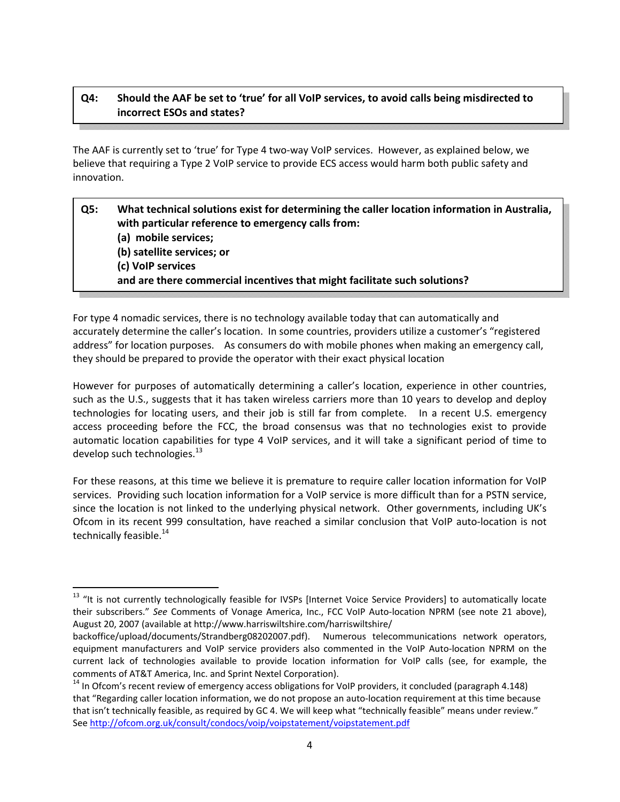### **Q4: Should the AAF be set to 'true' for all VoIP services, to avoid calls being misdirected to incorrect ESOs and states?**

The AAF is currently set to 'true' for Type 4 two-way VoIP services. However, as explained below, we believe that requiring a Type 2 VoIP service to provide ECS access would harm both public safety and innovation.

| Q5: | What technical solutions exist for determining the caller location information in Australia,<br>with particular reference to emergency calls from:<br>(a) mobile services;<br>(b) satellite services; or<br>(c) VoIP services<br>and are there commercial incentives that might facilitate such solutions? |
|-----|------------------------------------------------------------------------------------------------------------------------------------------------------------------------------------------------------------------------------------------------------------------------------------------------------------|
|     |                                                                                                                                                                                                                                                                                                            |

For type 4 nomadic services, there is no technology available today that can automatically and accurately determine the caller's location. In some countries, providers utilize a customer's "registered address" for location purposes. As consumers do with mobile phones when making an emergency call, they should be prepared to provide the operator with their exact physical location

However for purposes of automatically determining a caller's location, experience in other countries, such as the U.S., suggests that it has taken wireless carriers more than 10 years to develop and deploy technologies for locating users, and their job is still far from complete. In a recent U.S. emergency access proceeding before the FCC, the broad consensus was that no technologies exist to provide automatic location capabilities for type 4 VoIP services, and it will take a significant period of time to develop such technologies. $^{13}$ 

For these reasons, at this time we believe it is premature to require caller location information for VoIP services. Providing such location information for a VoIP service is more difficult than for a PSTN service, since the location is not linked to the underlying physical network. Other governments, including UK's Ofcom in its recent 999 consultation, have reached a similar conclusion that VoIP auto‐location is not technically feasible.<sup>14</sup>

<sup>&</sup>lt;sup>13</sup> "It is not currently technologically feasible for IVSPs [Internet Voice Service Providers] to automatically locate their subscribers." See Comments of Vonage America, Inc., FCC VoIP Auto-location NPRM (see note 21 above), August 20, 2007 (available at http://www.harriswiltshire.com/harriswiltshire/

backoffice/upload/documents/Strandberg08202007.pdf). Numerous telecommunications network operators, equipment manufacturers and VoIP service providers also commented in the VoIP Auto‐location NPRM on the current lack of technologies available to provide location information for VoIP calls (see, for example, the comments of AT&T America, Inc. and Sprint Nextel Corporation).<br><sup>14</sup> In Ofcom's recent review of emergency access obligations for VoIP providers, it concluded (paragraph 4.148)

that "Regarding caller location information, we do not propose an auto-location requirement at this time because that isn't technically feasible, as required by GC 4. We will keep what "technically feasible" means under review." See http://ofcom.org.uk/consult/condocs/voip/voipstatement/voipstatement.pdf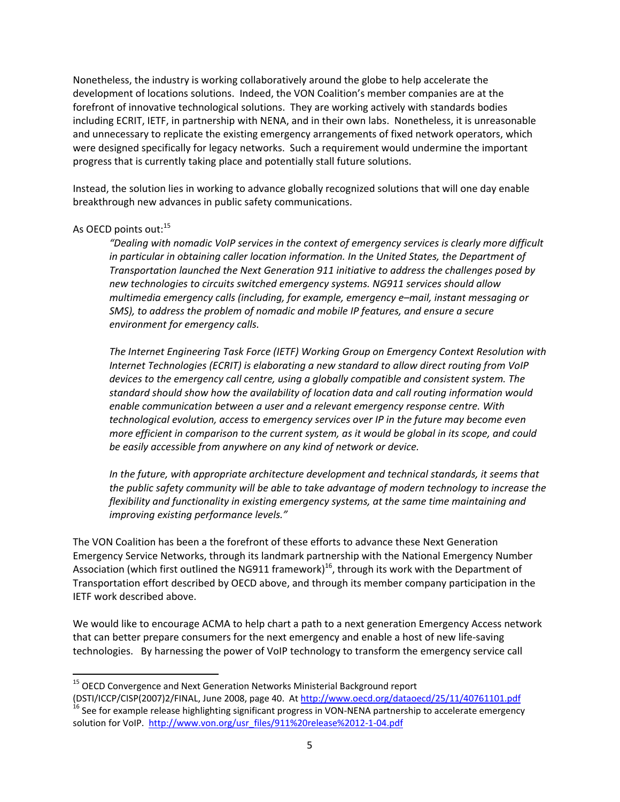Nonetheless, the industry is working collaboratively around the globe to help accelerate the development of locations solutions. Indeed, the VON Coalition's member companies are at the forefront of innovative technological solutions. They are working actively with standards bodies including ECRIT, IETF, in partnership with NENA, and in their own labs. Nonetheless, it is unreasonable and unnecessary to replicate the existing emergency arrangements of fixed network operators, which were designed specifically for legacy networks. Such a requirement would undermine the important progress that is currently taking place and potentially stall future solutions.

Instead, the solution lies in working to advance globally recognized solutions that will one day enable breakthrough new advances in public safety communications.

#### As OECD points out:<sup>15</sup>

*"Dealing with nomadic VoIP services in the context of emergency services is clearly more difficult in particular in obtaining caller location information. In the United States, the Department of Transportation launched the Next Generation 911 initiative to address the challenges posed by new technologies to circuits switched emergency systems. NG911 services should allow multimedia emergency calls (including, for example, emergency e–mail, instant messaging or SMS), to address the problem of nomadic and mobile IP features, and ensure a secure environment for emergency calls.*

*The Internet Engineering Task Force (IETF) Working Group on Emergency Context Resolution with Internet Technologies (ECRIT) is elaborating a new standard to allow direct routing from VoIP devices to the emergency call centre, using a globally compatible and consistent system. The standard should show how the availability of location data and call routing information would enable communication between a user and a relevant emergency response centre. With technological evolution, access to emergency services over IP in the future may become even more efficient in comparison to the current system, as it would be global in its scope, and could be easily accessible from anywhere on any kind of network or device.*

*In the future, with appropriate architecture development and technical standards, it seems that the public safety community will be able to take advantage of modern technology to increase the flexibility and functionality in existing emergency systems, at the same time maintaining and improving existing performance levels."*

The VON Coalition has been a the forefront of these efforts to advance these Next Generation Emergency Service Networks, through its landmark partnership with the National Emergency Number Association (which first outlined the NG911 framework)<sup>16</sup>, through its work with the Department of Transportation effort described by OECD above, and through its member company participation in the IETF work described above.

We would like to encourage ACMA to help chart a path to a next generation Emergency Access network that can better prepare consumers for the next emergency and enable a host of new life‐saving technologies. By harnessing the power of VoIP technology to transform the emergency service call

<sup>&</sup>lt;sup>15</sup> OECD Convergence and Next Generation Networks Ministerial Background report

<sup>(</sup>DSTI/ICCP/CISP(2007)2/FINAL, June 2008, page 40. At http://www.oecd.org/dataoecd/25/11/40761101.pdf<br><sup>16</sup> See for example release highlighting significant progress in VON-NENA partnership to accelerate emergency solution for VoIP. http://www.von.org/usr\_files/911%20release%2012-1-04.pdf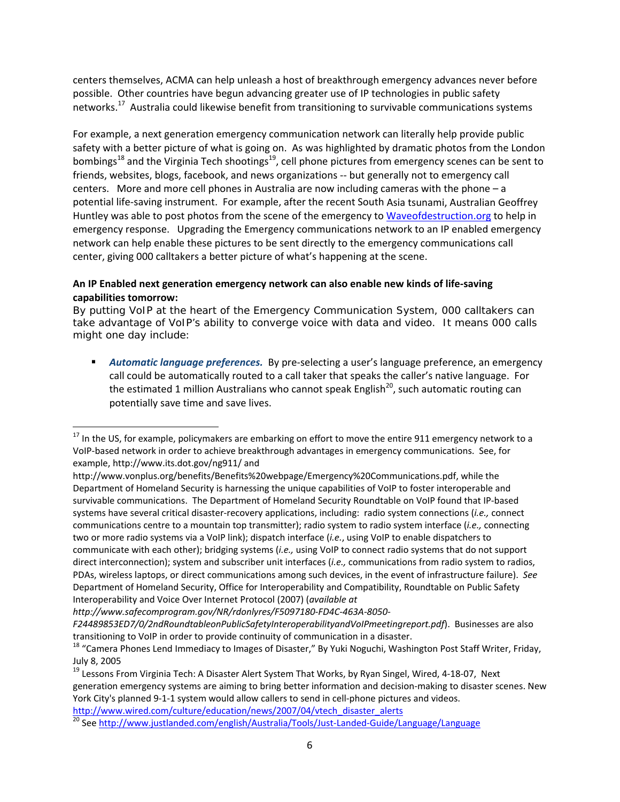centers themselves, ACMA can help unleash a host of breakthrough emergency advances never before possible. Other countries have begun advancing greater use of IP technologies in public safety networks.<sup>17</sup> Australia could likewise benefit from transitioning to survivable communications systems

For example, a next generation emergency communication network can literally help provide public safety with a better picture of what is going on. As was highlighted by dramatic photos from the London bombings<sup>18</sup> and the Virginia Tech shootings<sup>19</sup>, cell phone pictures from emergency scenes can be sent to friends, websites, blogs, facebook, and news organizations ‐‐ but generally not to emergency call centers. More and more cell phones in Australia are now including cameras with the phone – a potential life‐saving instrument. For example, after the recent South Asia tsunami, Australian Geoffrey Huntley was able to post photos from the scene of the emergency to Waveofdestruction.org to help in emergency response. Upgrading the Emergency communications network to an IP enabled emergency network can help enable these pictures to be sent directly to the emergency communications call center, giving 000 calltakers a better picture of what's happening at the scene.

#### **An IP Enabled next generation emergency network can also enable new kinds of life‐saving capabilities tomorrow:**

By putting VoIP at the heart of the Emergency Communication System, 000 calltakers can take advantage of VoIP's ability to converge voice with data and video. It means 000 calls might one day include:

 *Automatic language preferences.* By pre‐selecting a user's language preference, an emergency call could be automatically routed to a call taker that speaks the caller's native language. For the estimated 1 million Australians who cannot speak English<sup>20</sup>, such automatic routing can potentially save time and save lives.

*http://www.safecomprogram.gov/NR/rdonlyres/F5097180‐FD4C‐463A‐8050‐*

 $^{17}$  In the US, for example, policymakers are embarking on effort to move the entire 911 emergency network to a VoIP‐based network in order to achieve breakthrough advantages in emergency communications. See, for example, http://www.its.dot.gov/ng911/ and

http://www.vonplus.org/benefits/Benefits%20webpage/Emergency%20Communications.pdf, while the Department of Homeland Security is harnessing the unique capabilities of VoIP to foster interoperable and survivable communications. The Department of Homeland Security Roundtable on VoIP found that IP-based systems have several critical disaster‐recovery applications, including: radio system connections (*i.e.,* connect communications centre to a mountain top transmitter); radio system to radio system interface (*i.e.,* connecting two or more radio systems via a VoIP link); dispatch interface (*i.e.*, using VoIP to enable dispatchers to communicate with each other); bridging systems (*i.e.,* using VoIP to connect radio systems that do not support direct interconnection); system and subscriber unit interfaces (*i.e.,* communications from radio system to radios, PDAs, wireless laptops, or direct communications among such devices, in the event of infrastructure failure). *See* Department of Homeland Security, Office for Interoperability and Compatibility, Roundtable on Public Safety Interoperability and Voice Over Internet Protocol (2007) (*available at*

*F24489853ED7/0/2ndRoundtableonPublicSafetyInteroperabilityandVoIPmeetingreport.pdf*). Businesses are also transitioning to VoIP in order to provide continuity of communication in a disaster.<br><sup>18</sup> "Camera Phones Lend Immediacy to Images of Disaster," By Yuki Noguchi, Washington Post Staff Writer, Friday,

July 8, 2005<br><sup>19</sup> Lessons From Virginia Tech: A Disaster Alert System That Works, by Ryan Singel, Wired, 4‐18‐07, Next

generation emergency systems are aiming to bring better information and decision-making to disaster scenes. New York City's planned 9-1-1 system would allow callers to send in cell-phone pictures and videos.

http://www.wired.com/culture/education/news/2007/04/vtech\_disaster\_alerts 20 See http://www.justlanded.com/english/Australia/Tools/Just-Landed-Guide/Language/Language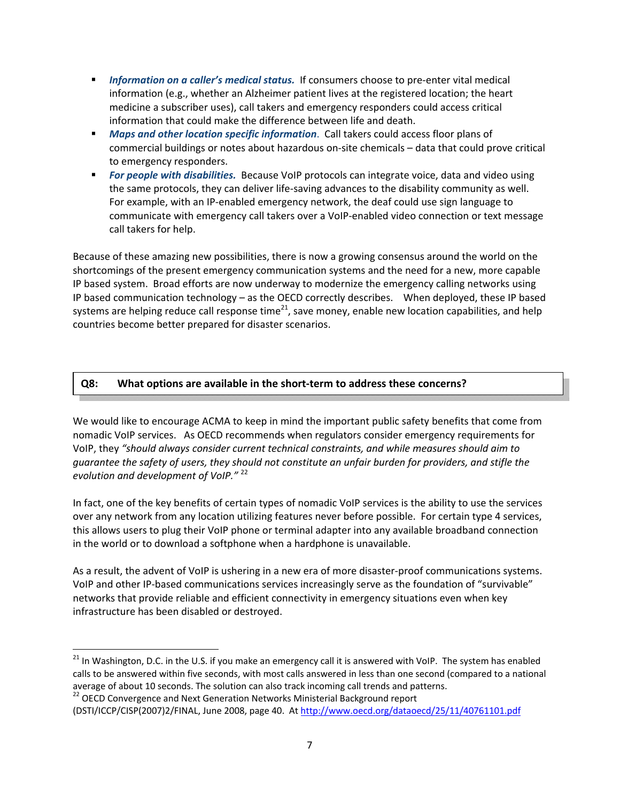- *Information on a caller's medical status.* If consumers choose to pre-enter vital medical information (e.g., whether an Alzheimer patient lives at the registered location; the heart medicine a subscriber uses), call takers and emergency responders could access critical information that could make the difference between life and death.
- *Maps and other location specific information*. Call takers could access floor plans of commercial buildings or notes about hazardous on‐site chemicals – data that could prove critical to emergency responders.
- *For people with disabilities.* Because VoIP protocols can integrate voice, data and video using the same protocols, they can deliver life‐saving advances to the disability community as well. For example, with an IP‐enabled emergency network, the deaf could use sign language to communicate with emergency call takers over a VoIP‐enabled video connection or text message call takers for help.

Because of these amazing new possibilities, there is now a growing consensus around the world on the shortcomings of the present emergency communication systems and the need for a new, more capable IP based system. Broad efforts are now underway to modernize the emergency calling networks using IP based communication technology – as the OECD correctly describes. When deployed, these IP based systems are helping reduce call response time<sup>21</sup>, save money, enable new location capabilities, and help countries become better prepared for disaster scenarios.

#### **Q8: What options are available in the short‐term to address these concerns?**

We would like to encourage ACMA to keep in mind the important public safety benefits that come from nomadic VoIP services. As OECD recommends when regulators consider emergency requirements for VoIP, they *"should always consider current technical constraints, and while measures should aim to guarantee the safety of users, they should not constitute an unfair burden for providers, and stifle the evolution and development of VoIP."* <sup>22</sup>

In fact, one of the key benefits of certain types of nomadic VoIP services is the ability to use the services over any network from any location utilizing features never before possible. For certain type 4 services, this allows users to plug their VoIP phone or terminal adapter into any available broadband connection in the world or to download a softphone when a hardphone is unavailable.

As a result, the advent of VoIP is ushering in a new era of more disaster‐proof communications systems. VoIP and other IP‐based communications services increasingly serve as the foundation of "survivable" networks that provide reliable and efficient connectivity in emergency situations even when key infrastructure has been disabled or destroyed.

<sup>&</sup>lt;sup>21</sup> In Washington, D.C. in the U.S. if you make an emergency call it is answered with VoIP. The system has enabled calls to be answered within five seconds, with most calls answered in less than one second (compared to a national average of about 10 seconds. The solution can also track incoming call trends and patterns.<br><sup>22</sup> OECD Convergence and Next Generation Networks Ministerial Background report

<sup>(</sup>DSTI/ICCP/CISP(2007)2/FINAL, June 2008, page 40. At http://www.oecd.org/dataoecd/25/11/40761101.pdf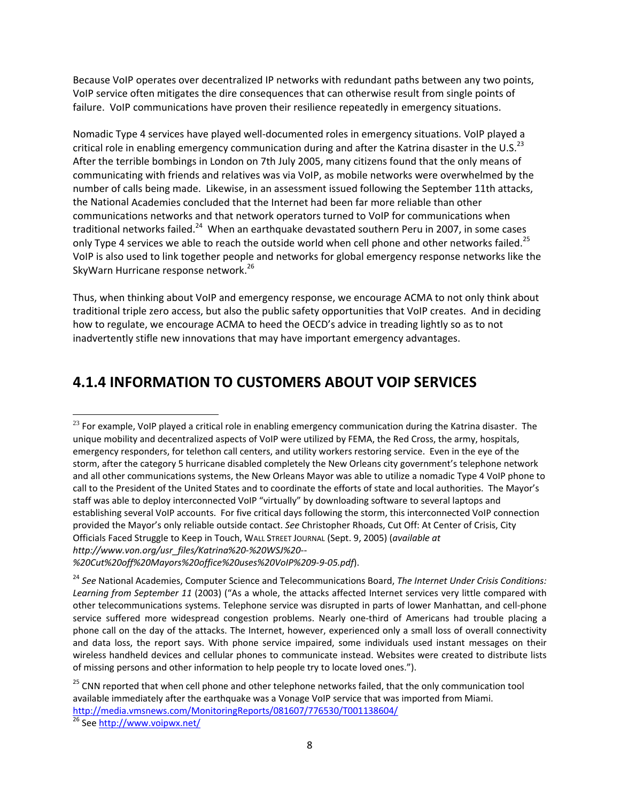Because VoIP operates over decentralized IP networks with redundant paths between any two points, VoIP service often mitigates the dire consequences that can otherwise result from single points of failure. VoIP communications have proven their resilience repeatedly in emergency situations.

Nomadic Type 4 services have played well‐documented roles in emergency situations. VoIP played a critical role in enabling emergency communication during and after the Katrina disaster in the U.S. $^{23}$ After the terrible bombings in London on 7th July 2005, many citizens found that the only means of communicating with friends and relatives was via VoIP, as mobile networks were overwhelmed by the number of calls being made. Likewise, in an assessment issued following the September 11th attacks, the National Academies concluded that the Internet had been far more reliable than other communications networks and that network operators turned to VoIP for communications when traditional networks failed.<sup>24</sup> When an earthquake devastated southern Peru in 2007, in some cases only Type 4 services we able to reach the outside world when cell phone and other networks failed.<sup>25</sup> VoIP is also used to link together people and networks for global emergency response networks like the SkyWarn Hurricane response network.<sup>26</sup>

Thus, when thinking about VoIP and emergency response, we encourage ACMA to not only think about traditional triple zero access, but also the public safety opportunities that VoIP creates. And in deciding how to regulate, we encourage ACMA to heed the OECD's advice in treading lightly so as to not inadvertently stifle new innovations that may have important emergency advantages.

# **4.1.4 INFORMATION TO CUSTOMERS ABOUT VOIP SERVICES**

  $^{23}$  For example, VoIP played a critical role in enabling emergency communication during the Katrina disaster. The unique mobility and decentralized aspects of VoIP were utilized by FEMA, the Red Cross, the army, hospitals, emergency responders, for telethon call centers, and utility workers restoring service. Even in the eye of the storm, after the category 5 hurricane disabled completely the New Orleans city government's telephone network and all other communications systems, the New Orleans Mayor was able to utilize a nomadic Type 4 VoIP phone to call to the President of the United States and to coordinate the efforts of state and local authorities. The Mayor's staff was able to deploy interconnected VoIP "virtually" by downloading software to several laptops and establishing several VoIP accounts. For five critical days following the storm, this interconnected VoIP connection provided the Mayor's only reliable outside contact. *See* Christopher Rhoads, Cut Off: At Center of Crisis, City Officials Faced Struggle to Keep in Touch, WALL STREET JOURNAL (Sept. 9, 2005) (*available at http://www.von.org/usr\_files/Katrina%20‐%20WSJ%20‐‐*

*<sup>%20</sup>Cut%20off%20Mayors%20office%20uses%20VoIP%209‐9‐05.pdf*).

<sup>24</sup> *See* National Academies, Computer Science and Telecommunications Board, *The Internet Under Crisis Conditions: Learning from September 11* (2003) ("As a whole, the attacks affected Internet services very little compared with other telecommunications systems. Telephone service was disrupted in parts of lower Manhattan, and cell‐phone service suffered more widespread congestion problems. Nearly one-third of Americans had trouble placing a phone call on the day of the attacks. The Internet, however, experienced only a small loss of overall connectivity and data loss, the report says. With phone service impaired, some individuals used instant messages on their wireless handheld devices and cellular phones to communicate instead. Websites were created to distribute lists of missing persons and other information to help people try to locate loved ones.").

<sup>&</sup>lt;sup>25</sup> CNN reported that when cell phone and other telephone networks failed, that the only communication tool available immediately after the earthquake was a Vonage VoIP service that was imported from Miami. http://media.vmsnews.com/MonitoringReports/081607/776530/T001138604/<br><sup>26</sup> See http://www.voipwx.net/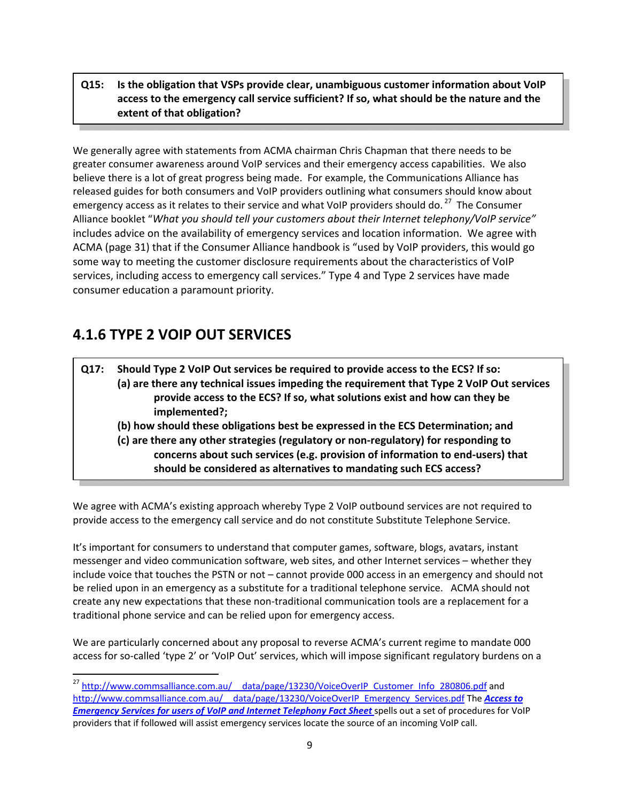## **Q15: Is the obligation that VSPs provide clear, unambiguous customer information about VoIP access to the emergency call service sufficient? If so, what should be the nature and the extent of that obligation?**

We generally agree with statements from ACMA chairman Chris Chapman that there needs to be greater consumer awareness around VoIP services and their emergency access capabilities. We also believe there is a lot of great progress being made. For example, the Communications Alliance has released guides for both consumers and VoIP providers outlining what consumers should know about emergency access as it relates to their service and what VoIP providers should do.<sup>27</sup> The Consumer Alliance booklet "*What you should tell your customers about their Internet telephony/VoIP service"* includes advice on the availability of emergency services and location information. We agree with ACMA (page 31) that if the Consumer Alliance handbook is "used by VoIP providers, this would go some way to meeting the customer disclosure requirements about the characteristics of VoIP services, including access to emergency call services." Type 4 and Type 2 services have made consumer education a paramount priority.

# **4.1.6 TYPE 2 VOIP OUT SERVICES**

**Q17: Should Type 2 VoIP Out services be required to provide access to the ECS? If so: (a) are there any technical issues impeding the requirement that Type 2 VoIP Out services provide access to the ECS? If so, what solutions exist and how can they be implemented?; (b) how should these obligations best be expressed in the ECS Determination; and (c) are there any other strategies (regulatory or non‐regulatory) for responding to concerns about such services (e.g. provision of information to end‐users) that should be considered as alternatives to mandating such ECS access?**

We agree with ACMA's existing approach whereby Type 2 VoIP outbound services are not required to provide access to the emergency call service and do not constitute Substitute Telephone Service.

It's important for consumers to understand that computer games, software, blogs, avatars, instant messenger and video communication software, web sites, and other Internet services – whether they include voice that touches the PSTN or not – cannot provide 000 access in an emergency and should not be relied upon in an emergency as a substitute for a traditional telephone service. ACMA should not create any new expectations that these non‐traditional communication tools are a replacement for a traditional phone service and can be relied upon for emergency access.

We are particularly concerned about any proposal to reverse ACMA's current regime to mandate 000 access for so‐called 'type 2' or 'VoIP Out' services, which will impose significant regulatory burdens on a

<sup>&</sup>lt;sup>27</sup> http://www.commsalliance.com.au/ data/page/13230/VoiceOverIP Customer Info 280806.pdf and http://www.commsalliance.com.au/\_\_data/page/13230/VoiceOverIP\_Emergency\_Services.pdf The *Access to Emergency Services for users of VoIP and Internet Telephony Fact Sheet* spells out a set of procedures for VoIP providers that if followed will assist emergency services locate the source of an incoming VoIP call.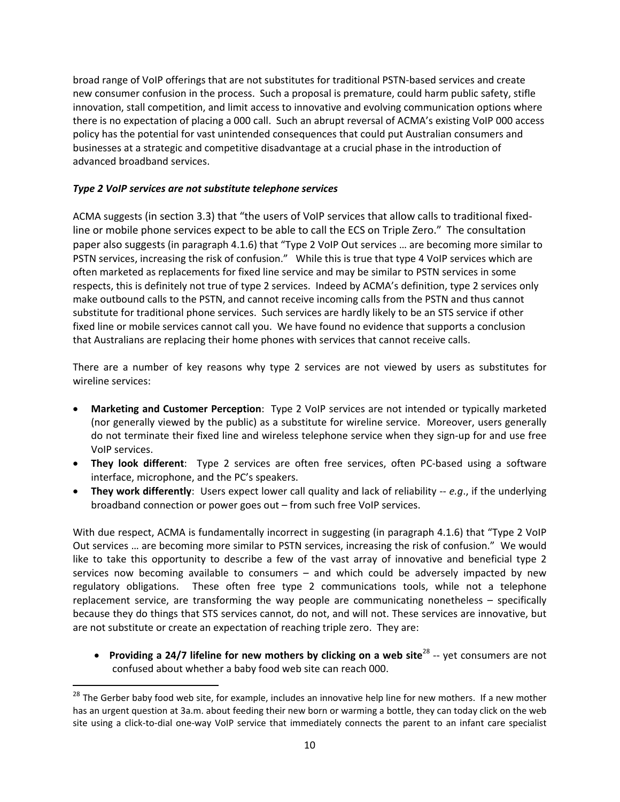broad range of VoIP offerings that are not substitutes for traditional PSTN‐based services and create new consumer confusion in the process. Such a proposal is premature, could harm public safety, stifle innovation, stall competition, and limit access to innovative and evolving communication options where there is no expectation of placing a 000 call. Such an abrupt reversal of ACMA's existing VoIP 000 access policy has the potential for vast unintended consequences that could put Australian consumers and businesses at a strategic and competitive disadvantage at a crucial phase in the introduction of advanced broadband services.

#### *Type 2 VoIP services are not substitute telephone services*

ACMA suggests (in section 3.3) that "the users of VoIP services that allow calls to traditional fixed‐ line or mobile phone services expect to be able to call the ECS on Triple Zero." The consultation paper also suggests (in paragraph 4.1.6) that "Type 2 VoIP Out services … are becoming more similar to PSTN services, increasing the risk of confusion." While this is true that type 4 VoIP services which are often marketed as replacements for fixed line service and may be similar to PSTN services in some respects, this is definitely not true of type 2 services. Indeed by ACMA's definition, type 2 services only make outbound calls to the PSTN, and cannot receive incoming calls from the PSTN and thus cannot substitute for traditional phone services. Such services are hardly likely to be an STS service if other fixed line or mobile services cannot call you. We have found no evidence that supports a conclusion that Australians are replacing their home phones with services that cannot receive calls.

There are a number of key reasons why type 2 services are not viewed by users as substitutes for wireline services:

- **Marketing and Customer Perception**: Type 2 VoIP services are not intended or typically marketed (nor generally viewed by the public) as a substitute for wireline service. Moreover, users generally do not terminate their fixed line and wireless telephone service when they sign‐up for and use free VoIP services.
- **They look different**: Type 2 services are often free services, often PC‐based using a software interface, microphone, and the PC's speakers.
- **They work differently**: Users expect lower call quality and lack of reliability ‐‐ *e.g*., if the underlying broadband connection or power goes out – from such free VoIP services.

With due respect, ACMA is fundamentally incorrect in suggesting (in paragraph 4.1.6) that "Type 2 VoIP Out services … are becoming more similar to PSTN services, increasing the risk of confusion." We would like to take this opportunity to describe a few of the vast array of innovative and beneficial type 2 services now becoming available to consumers – and which could be adversely impacted by new regulatory obligations. These often free type 2 communications tools, while not a telephone replacement service, are transforming the way people are communicating nonetheless – specifically because they do things that STS services cannot, do not, and will not. These services are innovative, but are not substitute or create an expectation of reaching triple zero. They are:

• **Providing a 24/7 lifeline for new mothers by clicking on a web site**<sup>28</sup> ‐‐ yet consumers are not confused about whether a baby food web site can reach 000.

<sup>&</sup>lt;sup>28</sup> The Gerber baby food web site, for example, includes an innovative help line for new mothers. If a new mother has an urgent question at 3a.m. about feeding their new born or warming a bottle, they can today click on the web site using a click-to-dial one-way VoIP service that immediately connects the parent to an infant care specialist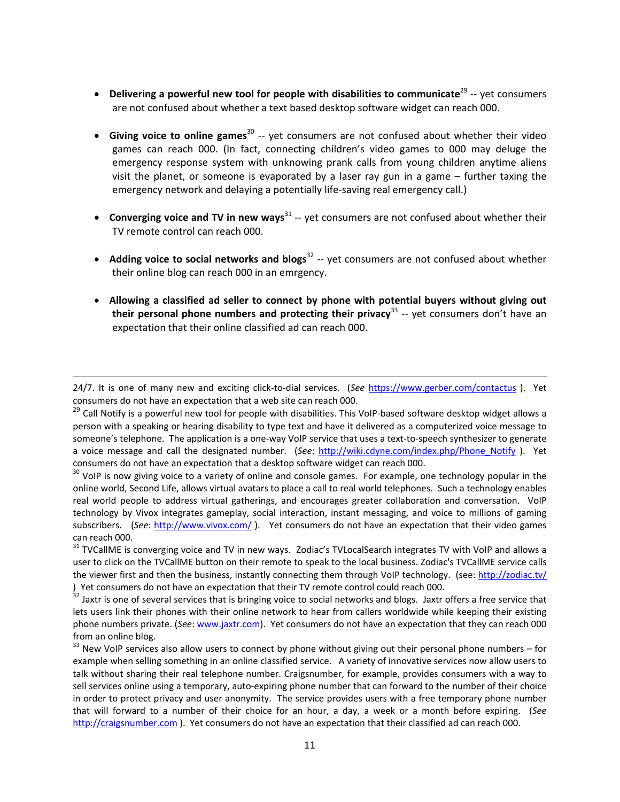- **Delivering a powerful new tool for people with disabilities to communicate**<sup>29</sup> ‐‐ yet consumers are not confused about whether a text based desktop software widget can reach 000.
- **Giving voice to online games**<sup>30</sup> ‐‐ yet consumers are not confused about whether their video games can reach 000. (In fact, connecting children's video games to 000 may deluge the emergency response system with unknowing prank calls from young children anytime aliens visit the planet, or someone is evaporated by a laser ray gun in a game – further taxing the emergency network and delaying a potentially life-saving real emergency call.)
- **Converging voice and TV in new ways**<sup>31</sup> ‐‐ yet consumers are not confused about whether their TV remote control can reach 000.
- **Adding voice to social networks and blogs**<sup>32</sup> ‐‐ yet consumers are not confused about whether their online blog can reach 000 in an emrgency.
- **Allowing a classified ad seller to connect by phone with potential buyers without giving out their personal phone numbers and protecting their privacy**<sup>33</sup> ‐‐ yet consumers don't have an expectation that their online classified ad can reach 000.

<sup>&</sup>lt;u> Andrewski politika (za obrazu pod predsjednika u predsjednika u predsjednika u predsjednika (za obrazu pod p</u> 24/7. It is one of many new and exciting click‐to‐dial services. (*See* https://www.gerber.com/contactus ). Yet consumers do not have an expectation that a web site can reach 000.

<sup>&</sup>lt;sup>29</sup> Call Notify is a powerful new tool for people with disabilities. This VoIP-based software desktop widget allows a person with a speaking or hearing disability to type text and have it delivered as a computerized voice message to someone's telephone. The application is a one-way VoIP service that uses a text-to-speech synthesizer to generate a voice message and call the designated number. (*See*: http://wiki.cdyne.com/index.php/Phone\_Notify ). Yet consumers do not have an expectation that a desktop software widget can reach 000.<br><sup>30</sup> VoIP is now giving voice to a variety of online and console games. For example, one technology popular in the

online world, Second Life, allows virtual avatars to place a call to real world telephones. Such a technology enables real world people to address virtual gatherings, and encourages greater collaboration and conversation. VoIP technology by Vivox integrates gameplay, social interaction, instant messaging, and voice to millions of gaming subscribers. (*See*: http://www.vivox.com/ ). Yet consumers do not have an expectation that their video games can reach 000.<br><sup>31</sup> TVCallME is converging voice and TV in new ways. Zodiac's TVLocalSearch integrates TV with VoIP and allows a

user to click on the TVCallME button on their remote to speak to the local business. Zodiac's TVCallME service calls the viewer first and then the business, instantly connecting them through VoIP technology. (see: http://zodiac.tv/

<sup>)</sup> Yet consumers do not have an expectation that their TV remote control could reach 000.<br><sup>32</sup> Jaxtr is one of several services that is bringing voice to social networks and blogs. Jaxtr offers a free service that lets users link their phones with their online network to hear from callers worldwide while keeping their existing phone numbers private. (*See*: www.jaxtr.com). Yet consumers do not have an expectation that they can reach 000 from an online blog.<br><sup>33</sup> New VoIP services also allow users to connect by phone without giving out their personal phone numbers – for

example when selling something in an online classified service. A variety of innovative services now allow users to talk without sharing their real telephone number. Craigsnumber, for example, provides consumers with a way to sell services online using a temporary, auto-expiring phone number that can forward to the number of their choice in order to protect privacy and user anonymity. The service provides users with a free temporary phone number that will forward to a number of their choice for an hour, a day, a week or a month before expiring. (*See* http://craigsnumber.com ). Yet consumers do not have an expectation that their classified ad can reach 000.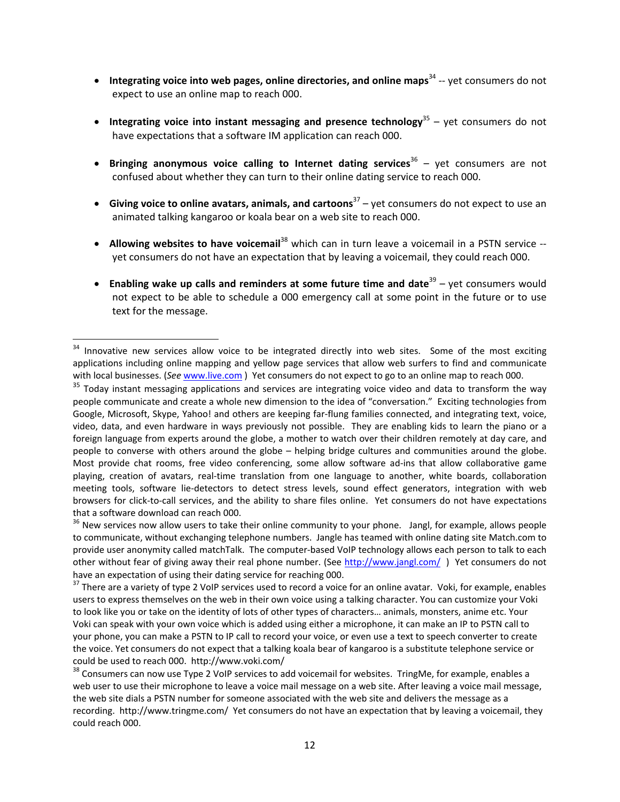- **Integrating voice into web pages, online directories, and online maps**<sup>34</sup> ‐‐ yet consumers do not expect to use an online map to reach 000.
- **Integrating voice into instant messaging and presence technology**<sup>35</sup> yet consumers do not have expectations that a software IM application can reach 000.
- **Bringing anonymous voice calling to Internet dating services**<sup>36</sup> yet consumers are not confused about whether they can turn to their online dating service to reach 000.
- **Giving voice to online avatars, animals, and cartoons**<sup>37</sup> yet consumers do not expect to use an animated talking kangaroo or koala bear on a web site to reach 000.
- **Allowing websites to have voicemail**<sup>38</sup> which can in turn leave a voicemail in a PSTN service ‐‐ yet consumers do not have an expectation that by leaving a voicemail, they could reach 000.
- **Enabling wake up calls and reminders at some future time and date**<sup>39</sup> yet consumers would not expect to be able to schedule a 000 emergency call at some point in the future or to use text for the message.

<sup>&</sup>lt;sup>34</sup> Innovative new services allow voice to be integrated directly into web sites. Some of the most exciting applications including online mapping and yellow page services that allow web surfers to find and communicate with local businesses. (*See* www.live.com ) Yet consumers do not expect to go to an online map to reach 000.

<sup>&</sup>lt;sup>35</sup> Today instant messaging applications and services are integrating voice video and data to transform the way people communicate and create a whole new dimension to the idea of "conversation." Exciting technologies from Google, Microsoft, Skype, Yahoo! and others are keeping far‐flung families connected, and integrating text, voice, video, data, and even hardware in ways previously not possible. They are enabling kids to learn the piano or a foreign language from experts around the globe, a mother to watch over their children remotely at day care, and people to converse with others around the globe – helping bridge cultures and communities around the globe. Most provide chat rooms, free video conferencing, some allow software ad-ins that allow collaborative game playing, creation of avatars, real‐time translation from one language to another, white boards, collaboration meeting tools, software lie‐detectors to detect stress levels, sound effect generators, integration with web browsers for click‐to‐call services, and the ability to share files online. Yet consumers do not have expectations that a software download can reach 000.<br><sup>36</sup> New services now allow users to take their online community to your phone. Jangl, for example, allows people

to communicate, without exchanging telephone numbers. Jangle has teamed with online dating site Match.com to provide user anonymity called matchTalk. The computer‐based VoIP technology allows each person to talk to each other without fear of giving away their real phone number. (See http://www.jangl.com/) Yet consumers do not have an expectation of using their dating service for reaching 000.<br><sup>37</sup> There are a variety of type 2 VoIP services used to record a voice for an online avatar. Voki, for example, enables

users to express themselves on the web in their own voice using a talking character. You can customize your Voki to look like you or take on the identity of lots of other types of characters… animals, monsters, anime etc. Your Voki can speak with your own voice which is added using either a microphone, it can make an IP to PSTN call to your phone, you can make a PSTN to IP call to record your voice, or even use a text to speech converter to create the voice. Yet consumers do not expect that a talking koala bear of kangaroo is a substitute telephone service or could be used to reach 000. http://www.voki.com/<br><sup>38</sup> Consumers can now use Type 2 VoIP services to add voicemail for websites. TringMe, for example, enables a

web user to use their microphone to leave a voice mail message on a web site. After leaving a voice mail message, the web site dials a PSTN number for someone associated with the web site and delivers the message as a recording. http://www.tringme.com/ Yet consumers do not have an expectation that by leaving a voicemail, they could reach 000.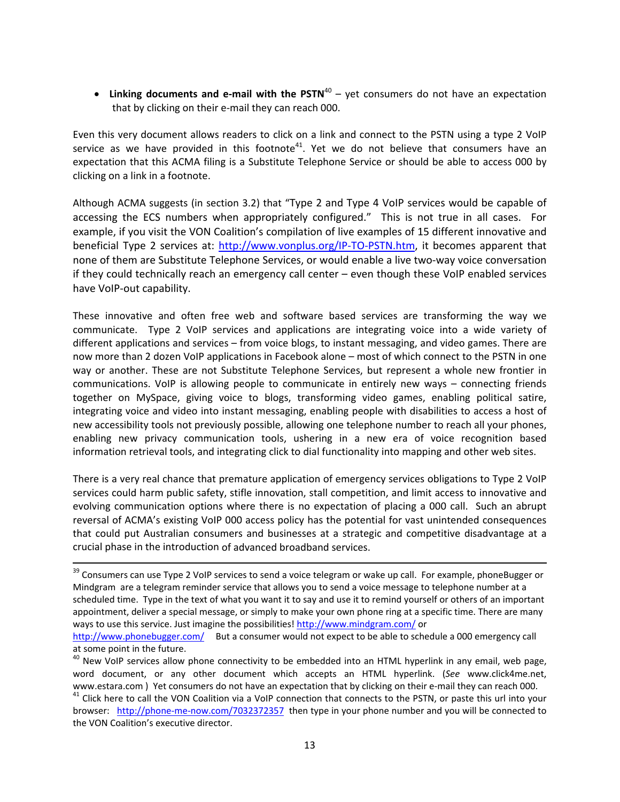• **Linking documents and e‐mail with the PSTN**<sup>40</sup> – yet consumers do not have an expectation that by clicking on their e‐mail they can reach 000.

Even this very document allows readers to click on a link and connect to the PSTN using a type 2 VoIP service as we have provided in this footnote<sup>41</sup>. Yet we do not believe that consumers have an expectation that this ACMA filing is a Substitute Telephone Service or should be able to access 000 by clicking on a link in a footnote.

Although ACMA suggests (in section 3.2) that "Type 2 and Type 4 VoIP services would be capable of accessing the ECS numbers when appropriately configured." This is not true in all cases. For example, if you visit the VON Coalition's compilation of live examples of 15 different innovative and beneficial Type 2 services at: http://www.vonplus.org/IP-TO-PSTN.htm, it becomes apparent that none of them are Substitute Telephone Services, or would enable a live two-way voice conversation if they could technically reach an emergency call center – even though these VoIP enabled services have VoIP‐out capability.

These innovative and often free web and software based services are transforming the way we communicate. Type 2 VoIP services and applications are integrating voice into a wide variety of different applications and services – from voice blogs, to instant messaging, and video games. There are now more than 2 dozen VoIP applications in Facebook alone – most of which connect to the PSTN in one way or another. These are not Substitute Telephone Services, but represent a whole new frontier in communications. VoIP is allowing people to communicate in entirely new ways – connecting friends together on MySpace, giving voice to blogs, transforming video games, enabling political satire, integrating voice and video into instant messaging, enabling people with disabilities to access a host of new accessibility tools not previously possible, allowing one telephone number to reach all your phones, enabling new privacy communication tools, ushering in a new era of voice recognition based information retrieval tools, and integrating click to dial functionality into mapping and other web sites.

There is a very real chance that premature application of emergency services obligations to Type 2 VoIP services could harm public safety, stifle innovation, stall competition, and limit access to innovative and evolving communication options where there is no expectation of placing a 000 call. Such an abrupt reversal of ACMA's existing VoIP 000 access policy has the potential for vast unintended consequences that could put Australian consumers and businesses at a strategic and competitive disadvantage at a crucial phase in the introduction of advanced broadband services.

<sup>&</sup>lt;sup>39</sup> Consumers can use Type 2 VoIP services to send a voice telegram or wake up call. For example, phoneBugger or Mindgram are a telegram reminder service that allows you to send a voice message to telephone number at a scheduled time. Type in the text of what you want it to say and use it to remind yourself or others of an important appointment, deliver a special message, or simply to make your own phone ring at a specific time. There are many ways to use this service. Just imagine the possibilities! http://www.mindgram.com/ or

http://www.phonebugger.com/ But a consumer would not expect to be able to schedule a 000 emergency call

at some point in the future.<br><sup>40</sup> New VoIP services allow phone connectivity to be embedded into an HTML hyperlink in any email, web page, word document, or any other document which accepts an HTML hyperlink. (*See* www.click4me.net, www.estara.com ) Yet consumers do not have an expectation that by clicking on their e-mail they can reach 000.<br><sup>41</sup> Click here to call the VON Coalition via a VoIP connection that connects to the PSTN, or paste this url in

browser: http://phone‐me‐now.com/7032372357 then type in your phone number and you will be connected to the VON Coalition's executive director.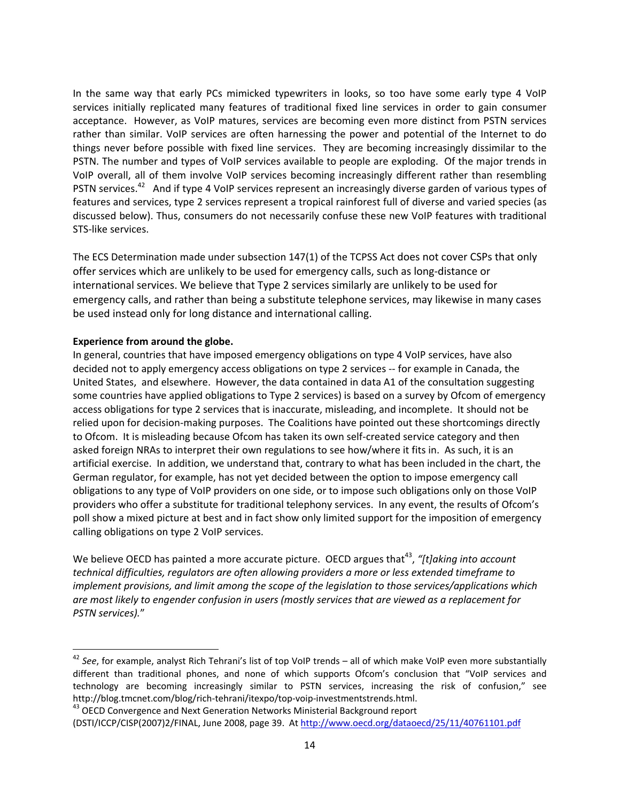In the same way that early PCs mimicked typewriters in looks, so too have some early type 4 VoIP services initially replicated many features of traditional fixed line services in order to gain consumer acceptance. However, as VoIP matures, services are becoming even more distinct from PSTN services rather than similar. VoIP services are often harnessing the power and potential of the Internet to do things never before possible with fixed line services. They are becoming increasingly dissimilar to the PSTN. The number and types of VoIP services available to people are exploding. Of the major trends in VoIP overall, all of them involve VoIP services becoming increasingly different rather than resembling PSTN services.<sup>42</sup> And if type 4 VoIP services represent an increasingly diverse garden of various types of features and services, type 2 services represent a tropical rainforest full of diverse and varied species (as discussed below). Thus, consumers do not necessarily confuse these new VoIP features with traditional STS‐like services.

The ECS Determination made under subsection 147(1) of the TCPSS Act does not cover CSPs that only offer services which are unlikely to be used for emergency calls, such as long‐distance or international services. We believe that Type 2 services similarly are unlikely to be used for emergency calls, and rather than being a substitute telephone services, may likewise in many cases be used instead only for long distance and international calling.

#### **Experience from around the globe.**

In general, countries that have imposed emergency obligations on type 4 VoIP services, have also decided not to apply emergency access obligations on type 2 services ‐‐ for example in Canada, the United States, and elsewhere. However, the data contained in data A1 of the consultation suggesting some countries have applied obligations to Type 2 services) is based on a survey by Ofcom of emergency access obligations for type 2 services that is inaccurate, misleading, and incomplete. It should not be relied upon for decision‐making purposes. The Coalitions have pointed out these shortcomings directly to Ofcom. It is misleading because Ofcom has taken its own self-created service category and then asked foreign NRAs to interpret their own regulations to see how/where it fits in. As such, it is an artificial exercise. In addition, we understand that, contrary to what has been included in the chart, the German regulator, for example, has not yet decided between the option to impose emergency call obligations to any type of VoIP providers on one side, or to impose such obligations only on those VoIP providers who offer a substitute for traditional telephony services. In any event, the results of Ofcom's poll show a mixed picture at best and in fact show only limited support for the imposition of emergency calling obligations on type 2 VoIP services.

We believe OECD has painted a more accurate picture. OECD argues that<sup>43</sup>, "[t]aking into account *technical difficulties, regulators are often allowing providers a more or less extended timeframe to implement provisions, and limit among the scope of the legislation to those services/applications which are most likely to engender confusion in users (mostly services that are viewed as a replacement for PSTN services).*"

<sup>42</sup> *See*, for example, analyst Rich Tehrani's list of top VoIP trends – all of which make VoIP even more substantially different than traditional phones, and none of which supports Ofcom's conclusion that "VoIP services and technology are becoming increasingly similar to PSTN services, increasing the risk of confusion," see http://blog.tmcnet.com/blog/rich-tehrani/itexpo/top-voip-investmentstrends.html.<br><sup>43</sup> OECD Convergence and Next Generation Networks Ministerial Background report

<sup>(</sup>DSTI/ICCP/CISP(2007)2/FINAL, June 2008, page 39. At http://www.oecd.org/dataoecd/25/11/40761101.pdf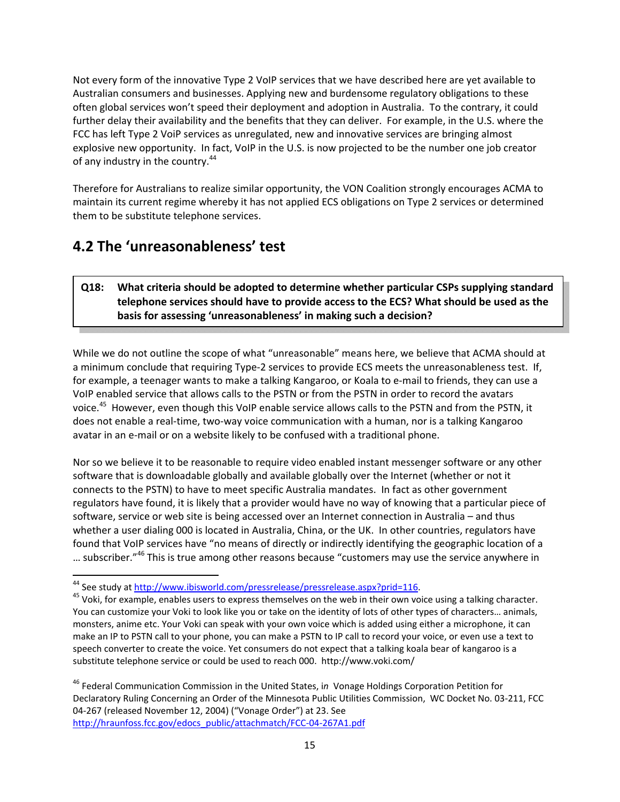Not every form of the innovative Type 2 VoIP services that we have described here are yet available to Australian consumers and businesses. Applying new and burdensome regulatory obligations to these often global services won't speed their deployment and adoption in Australia. To the contrary, it could further delay their availability and the benefits that they can deliver. For example, in the U.S. where the FCC has left Type 2 VoiP services as unregulated, new and innovative services are bringing almost explosive new opportunity. In fact, VoIP in the U.S. is now projected to be the number one job creator of any industry in the country.<sup>44</sup>

Therefore for Australians to realize similar opportunity, the VON Coalition strongly encourages ACMA to maintain its current regime whereby it has not applied ECS obligations on Type 2 services or determined them to be substitute telephone services.

# **4.2 The 'unreasonableness' test**

### **Q18: What criteria should be adopted to determine whether particular CSPs supplying standard telephone services should have to provide access to the ECS? What should be used as the basis for assessing 'unreasonableness' in making such a decision?**

While we do not outline the scope of what "unreasonable" means here, we believe that ACMA should at a minimum conclude that requiring Type-2 services to provide ECS meets the unreasonableness test. If, for example, a teenager wants to make a talking Kangaroo, or Koala to e‐mail to friends, they can use a VoIP enabled service that allows calls to the PSTN or from the PSTN in order to record the avatars voice.<sup>45</sup> However, even though this VoIP enable service allows calls to the PSTN and from the PSTN, it does not enable a real‐time, two‐way voice communication with a human, nor is a talking Kangaroo avatar in an e‐mail or on a website likely to be confused with a traditional phone.

Nor so we believe it to be reasonable to require video enabled instant messenger software or any other software that is downloadable globally and available globally over the Internet (whether or not it connects to the PSTN) to have to meet specific Australia mandates. In fact as other government regulators have found, it is likely that a provider would have no way of knowing that a particular piece of software, service or web site is being accessed over an Internet connection in Australia – and thus whether a user dialing 000 is located in Australia, China, or the UK. In other countries, regulators have found that VoIP services have "no means of directly or indirectly identifying the geographic location of a ... subscriber."<sup>46</sup> This is true among other reasons because "customers may use the service anywhere in

<sup>&</sup>lt;sup>44</sup> See study at <u>http://www.ibisworld.com/pressrelease/pressrelease.aspx?prid=116</u>.<br><sup>45</sup> Voki, for example, enables users to express themselves on the web in their own voice using a talking character. You can customize your Voki to look like you or take on the identity of lots of other types of characters… animals, monsters, anime etc. Your Voki can speak with your own voice which is added using either a microphone, it can make an IP to PSTN call to your phone, you can make a PSTN to IP call to record your voice, or even use a text to speech converter to create the voice. Yet consumers do not expect that a talking koala bear of kangaroo is a substitute telephone service or could be used to reach 000. http://www.voki.com/

<sup>46</sup> Federal Communication Commission in the United States, i*n* Vonage Holdings Corporation Petition for Declaratory Ruling Concerning an Order of the Minnesota Public Utilities Commission, WC Docket No. 03‐211, FCC 04‐267 (released November 12, 2004) ("Vonage Order") at 23. See http://hraunfoss.fcc.gov/edocs\_public/attachmatch/FCC‐04‐267A1.pdf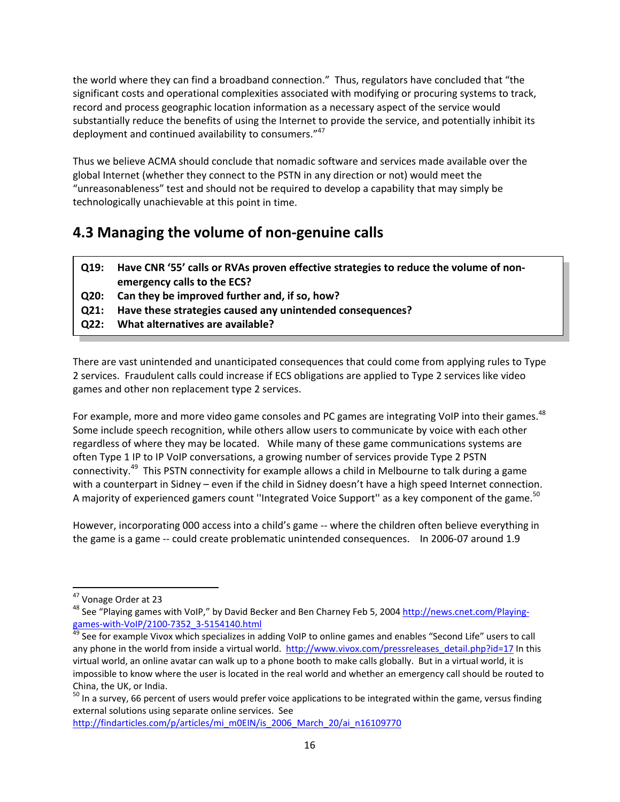the world where they can find a broadband connection." Thus, regulators have concluded that "the significant costs and operational complexities associated with modifying or procuring systems to track, record and process geographic location information as a necessary aspect of the service would substantially reduce the benefits of using the Internet to provide the service, and potentially inhibit its deployment and continued availability to consumers."<sup>47</sup>

Thus we believe ACMA should conclude that nomadic software and services made available over the global Internet (whether they connect to the PSTN in any direction or not) would meet the "unreasonableness" test and should not be required to develop a capability that may simply be technologically unachievable at this point in time.

# **4.3 Managing the volume of non‐genuine calls**

- **Q19: Have CNR '55' calls or RVAs proven effective strategies to reduce the volume of non‐ emergency calls to the ECS?**
- **Q20: Can they be improved further and, if so, how?**
- **Q21: Have these strategies caused any unintended consequences?**
- **Q22: What alternatives are available?**

There are vast unintended and unanticipated consequences that could come from applying rules to Type 2 services. Fraudulent calls could increase if ECS obligations are applied to Type 2 services like video games and other non replacement type 2 services.

For example, more and more video game consoles and PC games are integrating VoIP into their games.<sup>48</sup> Some include speech recognition, while others allow users to communicate by voice with each other regardless of where they may be located. While many of these game communications systems are often Type 1 IP to IP VoIP conversations, a growing number of services provide Type 2 PSTN connectivity.<sup>49</sup> This PSTN connectivity for example allows a child in Melbourne to talk during a game with a counterpart in Sidney - even if the child in Sidney doesn't have a high speed Internet connection. A majority of experienced gamers count "Integrated Voice Support" as a key component of the game.<sup>50</sup>

However, incorporating 000 access into a child's game ‐‐ where the children often believe everything in the game is a game -- could create problematic unintended consequences. In 2006-07 around 1.9

http://findarticles.com/p/articles/mi\_m0EIN/is\_2006\_March\_20/ai\_n16109770

<sup>&</sup>lt;sup>47</sup> Vonage Order at 23<br><sup>48</sup> See "Playing games with VoIP," by David Becker and Ben Charney Feb 5, 2004 <u>http://news.cnet.com/Playing-</u> games-with-VoIP/2100-7352\_3-5154140.html<br><sup>49</sup> See for example Vivox which specializes in adding VoIP to online games and enables "Second Life" users to call

any phone in the world from inside a virtual world. http://www.vivox.com/pressreleases\_detail.php?id=17 In this virtual world, an online avatar can walk up to a phone booth to make calls globally. But in a virtual world, it is impossible to know where the user is located in the real world and whether an emergency call should be routed to

China, the UK, or India.<br><sup>50</sup> In a survey, 66 percent of users would prefer voice applications to be integrated within the game, versus finding external solutions using separate online services. See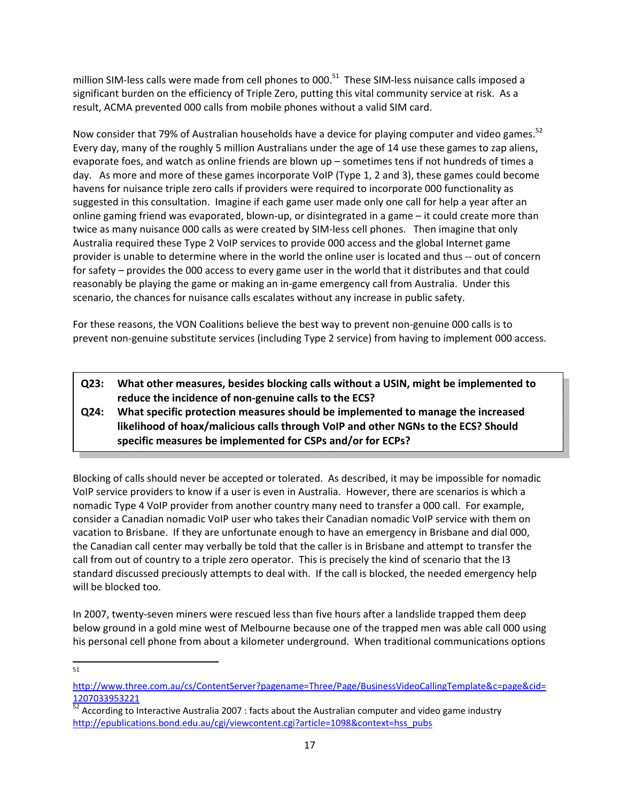million SIM-less calls were made from cell phones to 000.<sup>51</sup> These SIM-less nuisance calls imposed a significant burden on the efficiency of Triple Zero, putting this vital community service at risk. As a result, ACMA prevented 000 calls from mobile phones without a valid SIM card.

Now consider that 79% of Australian households have a device for playing computer and video games.<sup>52</sup> Every day, many of the roughly 5 million Australians under the age of 14 use these games to zap aliens, evaporate foes, and watch as online friends are blown up – sometimes tens if not hundreds of times a day. As more and more of these games incorporate VoIP (Type 1, 2 and 3), these games could become havens for nuisance triple zero calls if providers were required to incorporate 000 functionality as suggested in this consultation. Imagine if each game user made only one call for help a year after an online gaming friend was evaporated, blown‐up, or disintegrated in a game – it could create more than twice as many nuisance 000 calls as were created by SIM‐less cell phones. Then imagine that only Australia required these Type 2 VoIP services to provide 000 access and the global Internet game provider is unable to determine where in the world the online user is located and thus ‐‐ out of concern for safety – provides the 000 access to every game user in the world that it distributes and that could reasonably be playing the game or making an in‐game emergency call from Australia. Under this scenario, the chances for nuisance calls escalates without any increase in public safety.

For these reasons, the VON Coalitions believe the best way to prevent non-genuine 000 calls is to prevent non‐genuine substitute services (including Type 2 service) from having to implement 000 access.

- **Q23: What other measures, besides blocking calls without a USIN, might be implemented to reduce the incidence of non‐genuine calls to the ECS?**
- **Q24: What specific protection measures should be implemented to manage the increased likelihood of hoax/malicious calls through VoIP and other NGNs to the ECS? Should specific measures be implemented for CSPs and/or for ECPs?**

Blocking of calls should never be accepted or tolerated. As described, it may be impossible for nomadic VoIP service providers to know if a user is even in Australia. However, there are scenarios is which a nomadic Type 4 VoIP provider from another country many need to transfer a 000 call. For example, consider a Canadian nomadic VoIP user who takes their Canadian nomadic VoIP service with them on vacation to Brisbane. If they are unfortunate enough to have an emergency in Brisbane and dial 000, the Canadian call center may verbally be told that the caller is in Brisbane and attempt to transfer the call from out of country to a triple zero operator. This is precisely the kind of scenario that the I3 standard discussed preciously attempts to deal with. If the call is blocked, the needed emergency help will be blocked too.

In 2007, twenty‐seven miners were rescued less than five hours after a landslide trapped them deep below ground in a gold mine west of Melbourne because one of the trapped men was able call 000 using his personal cell phone from about a kilometer underground. When traditional communications options

http://www.three.com.au/cs/ContentServer?pagename=Three/Page/BusinessVideoCallingTemplate&c=page&cid=

<sup>1207033953221&</sup>lt;br><sup>52</sup> According to Interactive Australia 2007 : facts about the Australian computer and video game industry http://epublications.bond.edu.au/cgi/viewcontent.cgi?article=1098&context=hss\_pubs